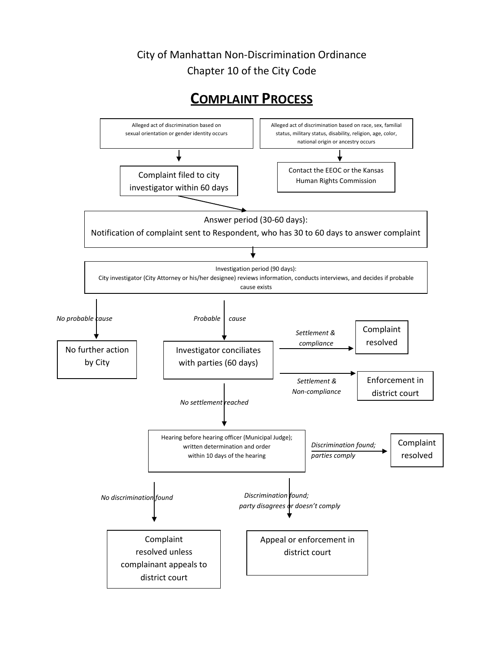## City of Manhattan Non-Discrimination Ordinance Chapter 10 of the City Code

## **COMPLAINT PROCESS**